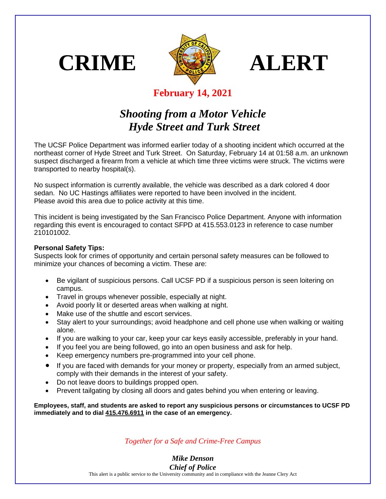





## **February 14, 2021**

## *Shooting from a Motor Vehicle Hyde Street and Turk Street*

The UCSF Police Department was informed earlier today of a shooting incident which occurred at the northeast corner of Hyde Street and Turk Street. On Saturday, February 14 at 01:58 a.m. an unknown suspect discharged a firearm from a vehicle at which time three victims were struck. The victims were transported to nearby hospital(s).

No suspect information is currently available, the vehicle was described as a dark colored 4 door sedan. No UC Hastings affiliates were reported to have been involved in the incident. Please avoid this area due to police activity at this time.

This incident is being investigated by the San Francisco Police Department. Anyone with information regarding this event is encouraged to contact SFPD at 415.553.0123 in reference to case number 210101002.

## **Personal Safety Tips:**

Suspects look for crimes of opportunity and certain personal safety measures can be followed to minimize your chances of becoming a victim. These are:

- Be vigilant of suspicious persons. Call UCSF PD if a suspicious person is seen loitering on campus.
- Travel in groups whenever possible, especially at night.
- Avoid poorly lit or deserted areas when walking at night.
- Make use of the shuttle and escort services.
- Stay alert to your surroundings; avoid headphone and cell phone use when walking or waiting alone.
- If you are walking to your car, keep your car keys easily accessible, preferably in your hand.
- If you feel you are being followed, go into an open business and ask for help.
- Keep emergency numbers pre-programmed into your cell phone.
- If you are faced with demands for your money or property, especially from an armed subject, comply with their demands in the interest of your safety.
- Do not leave doors to buildings propped open.
- Prevent tailgating by closing all doors and gates behind you when entering or leaving.

**Employees, staff, and students are asked to report any suspicious persons or circumstances to UCSF PD immediately and to dial 415.476.6911 in the case of an emergency.**

*Together for a Safe and Crime-Free Campus*

*Mike Denson Chief of Police*

This alert is a public service to the University community and in compliance with the Jeanne Clery Act